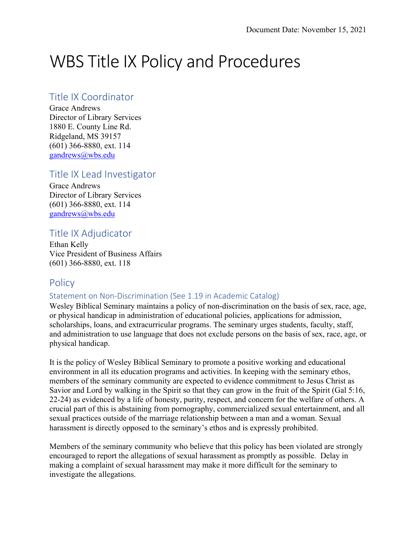# WBS Title IX Policy and Procedures

## Title IX Coordinator

Grace Andrews Director of Library Services 1880 E. County Line Rd. Ridgeland, MS 39157 (601) 366-8880, ext. 114 gandrews@wbs.edu

# Title IX Lead Investigator

Grace Andrews Director of Library Services (601) 366-8880, ext. 114 gandrews@wbs.edu

## Title IX Adjudicator

Ethan Kelly Vice President of Business Affairs (601) 366-8880, ext. 118

# **Policy**

## Statement on Non-Discrimination (See 1.19 in Academic Catalog)

Wesley Biblical Seminary maintains a policy of non-discrimination on the basis of sex, race, age, or physical handicap in administration of educational policies, applications for admission, scholarships, loans, and extracurricular programs. The seminary urges students, faculty, staff, and administration to use language that does not exclude persons on the basis of sex, race, age, or physical handicap.

It is the policy of Wesley Biblical Seminary to promote a positive working and educational environment in all its education programs and activities. In keeping with the seminary ethos, members of the seminary community are expected to evidence commitment to Jesus Christ as Savior and Lord by walking in the Spirit so that they can grow in the fruit of the Spirit (Gal 5:16, 22-24) as evidenced by a life of honesty, purity, respect, and concern for the welfare of others. A crucial part of this is abstaining from pornography, commercialized sexual entertainment, and all sexual practices outside of the marriage relationship between a man and a woman. Sexual harassment is directly opposed to the seminary's ethos and is expressly prohibited.

Members of the seminary community who believe that this policy has been violated are strongly encouraged to report the allegations of sexual harassment as promptly as possible. Delay in making a complaint of sexual harassment may make it more difficult for the seminary to investigate the allegations.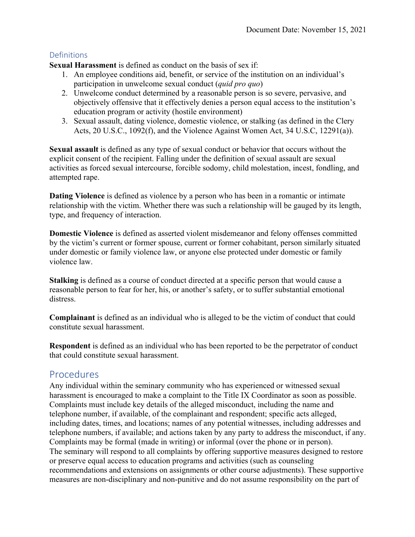## **Definitions**

**Sexual Harassment** is defined as conduct on the basis of sex if:

- 1. An employee conditions aid, benefit, or service of the institution on an individual's participation in unwelcome sexual conduct (*quid pro quo*)
- 2. Unwelcome conduct determined by a reasonable person is so severe, pervasive, and objectively offensive that it effectively denies a person equal access to the institution's education program or activity (hostile environment)
- 3. Sexual assault, dating violence, domestic violence, or stalking (as defined in the Clery Acts, 20 U.S.C., 1092(f), and the Violence Against Women Act, 34 U.S.C, 12291(a)).

**Sexual assault** is defined as any type of sexual conduct or behavior that occurs without the explicit consent of the recipient. Falling under the definition of sexual assault are sexual activities as forced sexual intercourse, forcible sodomy, child molestation, incest, fondling, and attempted rape.

**Dating Violence** is defined as violence by a person who has been in a romantic or intimate relationship with the victim. Whether there was such a relationship will be gauged by its length, type, and frequency of interaction.

**Domestic Violence** is defined as asserted violent misdemeanor and felony offenses committed by the victim's current or former spouse, current or former cohabitant, person similarly situated under domestic or family violence law, or anyone else protected under domestic or family violence law.

**Stalking** is defined as a course of conduct directed at a specific person that would cause a reasonable person to fear for her, his, or another's safety, or to suffer substantial emotional distress.

**Complainant** is defined as an individual who is alleged to be the victim of conduct that could constitute sexual harassment.

**Respondent** is defined as an individual who has been reported to be the perpetrator of conduct that could constitute sexual harassment.

# Procedures

Any individual within the seminary community who has experienced or witnessed sexual harassment is encouraged to make a complaint to the Title IX Coordinator as soon as possible. Complaints must include key details of the alleged misconduct, including the name and telephone number, if available, of the complainant and respondent; specific acts alleged, including dates, times, and locations; names of any potential witnesses, including addresses and telephone numbers, if available; and actions taken by any party to address the misconduct, if any. Complaints may be formal (made in writing) or informal (over the phone or in person). The seminary will respond to all complaints by offering supportive measures designed to restore or preserve equal access to education programs and activities (such as counseling recommendations and extensions on assignments or other course adjustments). These supportive measures are non-disciplinary and non-punitive and do not assume responsibility on the part of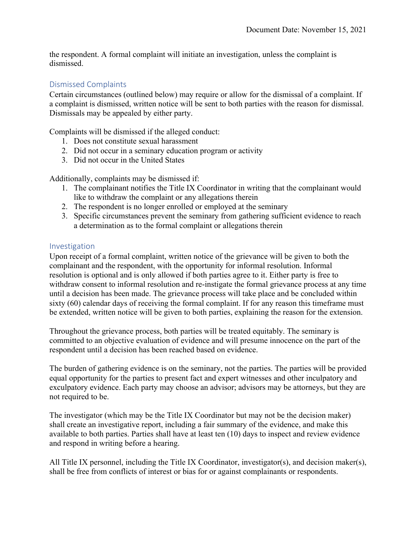the respondent. A formal complaint will initiate an investigation, unless the complaint is dismissed.

#### Dismissed Complaints

Certain circumstances (outlined below) may require or allow for the dismissal of a complaint. If a complaint is dismissed, written notice will be sent to both parties with the reason for dismissal. Dismissals may be appealed by either party.

Complaints will be dismissed if the alleged conduct:

- 1. Does not constitute sexual harassment
- 2. Did not occur in a seminary education program or activity
- 3. Did not occur in the United States

Additionally, complaints may be dismissed if:

- 1. The complainant notifies the Title IX Coordinator in writing that the complainant would like to withdraw the complaint or any allegations therein
- 2. The respondent is no longer enrolled or employed at the seminary
- 3. Specific circumstances prevent the seminary from gathering sufficient evidence to reach a determination as to the formal complaint or allegations therein

#### Investigation

Upon receipt of a formal complaint, written notice of the grievance will be given to both the complainant and the respondent, with the opportunity for informal resolution. Informal resolution is optional and is only allowed if both parties agree to it. Either party is free to withdraw consent to informal resolution and re-instigate the formal grievance process at any time until a decision has been made. The grievance process will take place and be concluded within sixty (60) calendar days of receiving the formal complaint. If for any reason this timeframe must be extended, written notice will be given to both parties, explaining the reason for the extension.

Throughout the grievance process, both parties will be treated equitably. The seminary is committed to an objective evaluation of evidence and will presume innocence on the part of the respondent until a decision has been reached based on evidence.

The burden of gathering evidence is on the seminary, not the parties. The parties will be provided equal opportunity for the parties to present fact and expert witnesses and other inculpatory and exculpatory evidence. Each party may choose an advisor; advisors may be attorneys, but they are not required to be.

The investigator (which may be the Title IX Coordinator but may not be the decision maker) shall create an investigative report, including a fair summary of the evidence, and make this available to both parties. Parties shall have at least ten (10) days to inspect and review evidence and respond in writing before a hearing.

All Title IX personnel, including the Title IX Coordinator, investigator(s), and decision maker(s), shall be free from conflicts of interest or bias for or against complainants or respondents.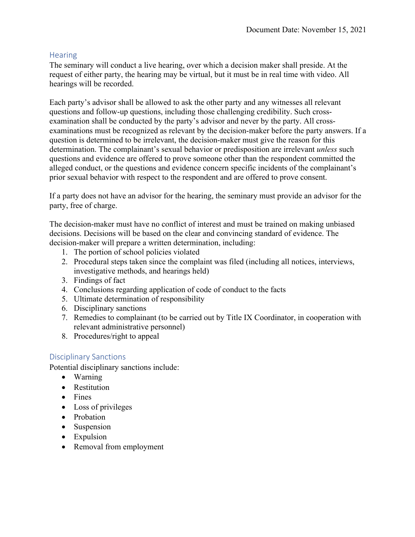#### **Hearing**

The seminary will conduct a live hearing, over which a decision maker shall preside. At the request of either party, the hearing may be virtual, but it must be in real time with video. All hearings will be recorded.

Each party's advisor shall be allowed to ask the other party and any witnesses all relevant questions and follow-up questions, including those challenging credibility. Such crossexamination shall be conducted by the party's advisor and never by the party. All crossexaminations must be recognized as relevant by the decision-maker before the party answers. If a question is determined to be irrelevant, the decision-maker must give the reason for this determination. The complainant's sexual behavior or predisposition are irrelevant *unless* such questions and evidence are offered to prove someone other than the respondent committed the alleged conduct, or the questions and evidence concern specific incidents of the complainant's prior sexual behavior with respect to the respondent and are offered to prove consent.

If a party does not have an advisor for the hearing, the seminary must provide an advisor for the party, free of charge.

The decision-maker must have no conflict of interest and must be trained on making unbiased decisions. Decisions will be based on the clear and convincing standard of evidence. The decision-maker will prepare a written determination, including:

- 1. The portion of school policies violated
- 2. Procedural steps taken since the complaint was filed (including all notices, interviews, investigative methods, and hearings held)
- 3. Findings of fact
- 4. Conclusions regarding application of code of conduct to the facts
- 5. Ultimate determination of responsibility
- 6. Disciplinary sanctions
- 7. Remedies to complainant (to be carried out by Title IX Coordinator, in cooperation with relevant administrative personnel)
- 8. Procedures/right to appeal

#### Disciplinary Sanctions

Potential disciplinary sanctions include:

- Warning
- Restitution
- Fines
- Loss of privileges
- Probation
- Suspension
- Expulsion
- Removal from employment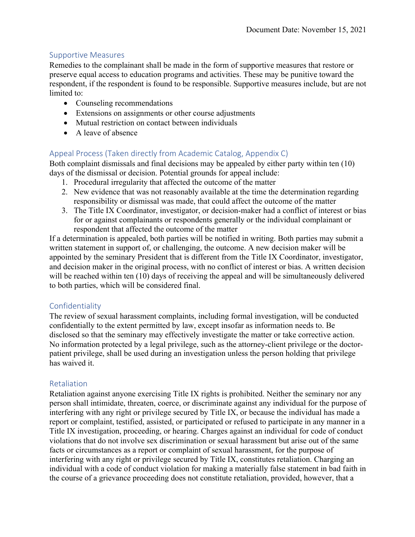#### Supportive Measures

Remedies to the complainant shall be made in the form of supportive measures that restore or preserve equal access to education programs and activities. These may be punitive toward the respondent, if the respondent is found to be responsible. Supportive measures include, but are not limited to:

- Counseling recommendations
- Extensions on assignments or other course adjustments
- Mutual restriction on contact between individuals
- A leave of absence

#### Appeal Process (Taken directly from Academic Catalog, Appendix C)

Both complaint dismissals and final decisions may be appealed by either party within ten (10) days of the dismissal or decision. Potential grounds for appeal include:

- 1. Procedural irregularity that affected the outcome of the matter
- 2. New evidence that was not reasonably available at the time the determination regarding responsibility or dismissal was made, that could affect the outcome of the matter
- 3. The Title IX Coordinator, investigator, or decision-maker had a conflict of interest or bias for or against complainants or respondents generally or the individual complainant or respondent that affected the outcome of the matter

If a determination is appealed, both parties will be notified in writing. Both parties may submit a written statement in support of, or challenging, the outcome. A new decision maker will be appointed by the seminary President that is different from the Title IX Coordinator, investigator, and decision maker in the original process, with no conflict of interest or bias. A written decision will be reached within ten (10) days of receiving the appeal and will be simultaneously delivered to both parties, which will be considered final.

#### Confidentiality

The review of sexual harassment complaints, including formal investigation, will be conducted confidentially to the extent permitted by law, except insofar as information needs to. Be disclosed so that the seminary may effectively investigate the matter or take corrective action. No information protected by a legal privilege, such as the attorney-client privilege or the doctorpatient privilege, shall be used during an investigation unless the person holding that privilege has waived it.

#### Retaliation

Retaliation against anyone exercising Title IX rights is prohibited. Neither the seminary nor any person shall intimidate, threaten, coerce, or discriminate against any individual for the purpose of interfering with any right or privilege secured by Title IX, or because the individual has made a report or complaint, testified, assisted, or participated or refused to participate in any manner in a Title IX investigation, proceeding, or hearing. Charges against an individual for code of conduct violations that do not involve sex discrimination or sexual harassment but arise out of the same facts or circumstances as a report or complaint of sexual harassment, for the purpose of interfering with any right or privilege secured by Title IX, constitutes retaliation. Charging an individual with a code of conduct violation for making a materially false statement in bad faith in the course of a grievance proceeding does not constitute retaliation, provided, however, that a